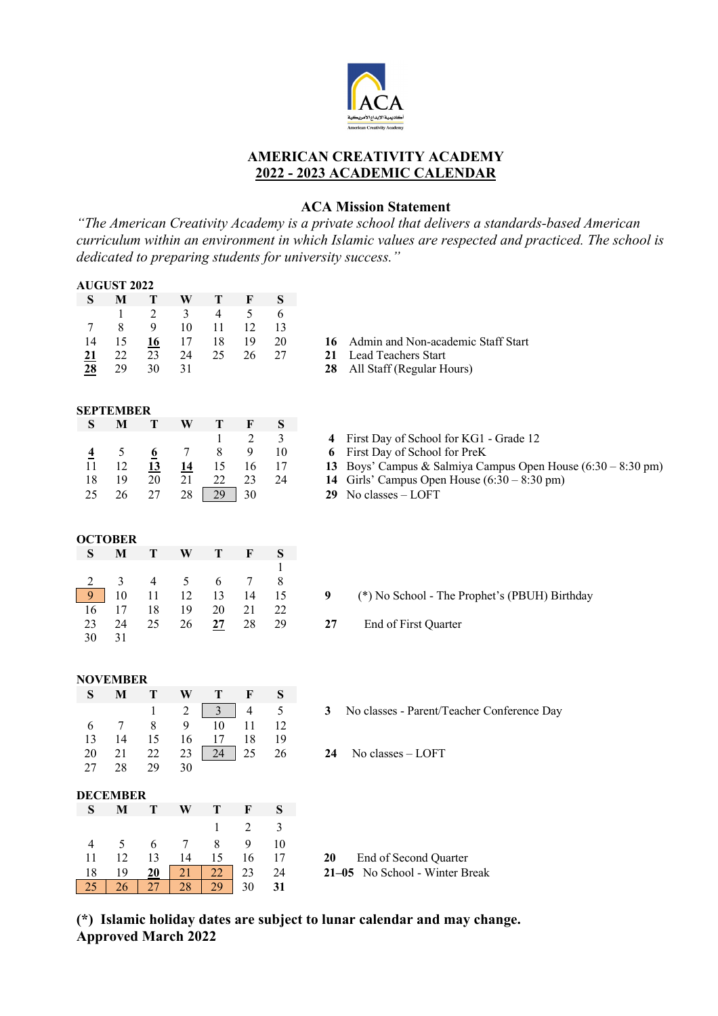

## **AMERICAN CREATIVITY ACADEMY 2022 - 2023 ACADEMIC CALENDAR**

## **ACA Mission Statement**

*"The American Creativity Academy is a private school that delivers a standards-based American curriculum within an environment in which Islamic values are respected and practiced. The school is dedicated to preparing students for university success."*

|                | <b>AUGUST 2022</b> |                 |                  |                         |                           |                  |                                                                           |
|----------------|--------------------|-----------------|------------------|-------------------------|---------------------------|------------------|---------------------------------------------------------------------------|
| S              | M                  | Т               | W                | T                       | $\mathbf F$               | ${\bf S}$        |                                                                           |
|                | $\mathbf{1}$       | $\overline{c}$  | $\overline{3}$   | $\overline{4}$          | 5                         | 6                |                                                                           |
| 7              | 8                  | $\mathbf{9}$    | 10               | 11                      | 12                        | 13               |                                                                           |
| 14             | 15                 | 16              | 17               | 18                      | 19                        | $20\,$           | Admin and Non-academic Staff Start<br>16                                  |
| 21             | 22                 | 23              | 24               | 25                      | 26                        | 27               | 21<br>Lead Teachers Start                                                 |
| 28             | 29                 | 30              | 31               |                         |                           |                  | 28<br>All Staff (Regular Hours)                                           |
|                |                    |                 |                  |                         |                           |                  |                                                                           |
|                | <b>SEPTEMBER</b>   |                 |                  |                         |                           |                  |                                                                           |
| ${\bf S}$      | M                  | T               | W                | T                       | F                         | ${\bf S}$        |                                                                           |
|                |                    |                 |                  | $\mathbf{1}$            | $\overline{c}$            | $\overline{3}$   | First Day of School for KG1 - Grade 12<br>4                               |
| $\overline{4}$ | 5                  | $\underline{6}$ | $\tau$           | 8                       | 9                         | 10               | First Day of School for PreK<br>6                                         |
| 11             | 12                 | $\overline{13}$ | 14               | 15                      | 16                        | 17               | Boys' Campus & Salmiya Campus Open House $(6:30 - 8:30 \text{ pm})$<br>13 |
| 18             | 19                 | 20              | 21               | 22                      | 23                        | 24               | Girls' Campus Open House $(6:30 - 8:30 \text{ pm})$<br>14                 |
| 25             | 26                 | 27              | 28               | 29                      | 30                        |                  | No classes - LOFT<br>29                                                   |
|                |                    |                 |                  |                         |                           |                  |                                                                           |
|                |                    |                 |                  |                         |                           |                  |                                                                           |
|                | <b>OCTOBER</b>     |                 |                  |                         |                           |                  |                                                                           |
| ${\bf S}$      | $\bf{M}$           | T               | W                | T                       | $\mathbf F$               | S                |                                                                           |
|                |                    |                 |                  |                         |                           | 1                |                                                                           |
| 2              | 3                  | $\overline{4}$  | 5                | $\sqrt{6}$              | $\tau$                    | 8                |                                                                           |
| 9              | 10                 | 11              | 12               | 13                      | 14                        | 15               | $\boldsymbol{9}$<br>(*) No School - The Prophet's (PBUH) Birthday         |
| 16             | 17                 | 18              | 19               | 20                      | 21                        | 22               |                                                                           |
| 23<br>30       | 24<br>31           | 25              | 26               | 27                      | 28                        | 29               | 27<br>End of First Quarter                                                |
|                |                    |                 |                  |                         |                           |                  |                                                                           |
|                |                    |                 |                  |                         |                           |                  |                                                                           |
|                | <b>NOVEMBER</b>    |                 |                  |                         |                           |                  |                                                                           |
| S              | $\mathbf{M}$       | T               | W                | T                       | $\boldsymbol{\mathrm{F}}$ | ${\bf S}$        |                                                                           |
|                |                    | $\mathbf{1}$    | $\overline{c}$   | $\overline{\mathbf{3}}$ | $\overline{4}$            | $\mathfrak s$    | No classes - Parent/Teacher Conference Day<br>3                           |
| 6              | $\tau$             | 8               | 9                | $\overline{10}$         | 11                        | 12               |                                                                           |
| 13             | 14                 | 15              | 16               | 17                      | 18                        | 19               |                                                                           |
| 20             | 21                 | 22              | 23               | 24                      | 25                        | 26               | No classes - LOFT<br>24                                                   |
| 27             | 28                 | 29              | 30               |                         |                           |                  |                                                                           |
|                |                    |                 |                  |                         |                           |                  |                                                                           |
|                | <b>DECEMBER</b>    |                 |                  |                         |                           |                  |                                                                           |
| ${\bf S}$      | $\mathbf M$        | T               | W                | ${\bf T}$               | $\mathbf F$               | ${\bf S}$<br>eri |                                                                           |
|                |                    |                 |                  | $\mathbf{1}$            | $\sqrt{2}$                | $\overline{3}$   |                                                                           |
| 4              | 5                  | 6               | $\boldsymbol{7}$ | 8                       | 9                         | 10               |                                                                           |
| 11             | 12                 | 13              | 14               | 15                      | 16                        | 17               | 20<br>End of Second Quarter                                               |
| 18             | 19                 | 20              | 21               | 22                      | 23                        | 24               | 21-05 No School - Winter Break                                            |
| 25             | 26                 | 27              | 28               | 29                      | 30                        | 31               |                                                                           |

**(\*) Islamic holiday dates are subject to lunar calendar and may change. Approved March 2022**